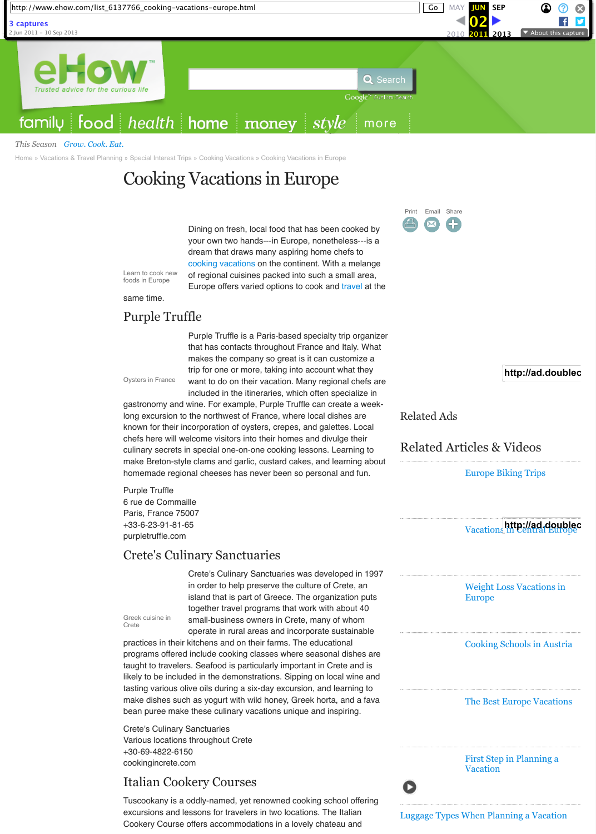#### *This Season [Grow. Cook. Eat.](https://web.archive.org/web/20110602031628/http://www.ehow.com/videos-on_11646_grow_-cook_-eat_.html)*

Dining on fresh, local food that has been cooked by your own two hands---in Europe, nonetheless---is a dream that draws many aspiring home chefs to [cooking](https://web.archive.org/web/20110602031628/http://www.ehow.com/recipes/) [vacations](https://web.archive.org/web/20110602031628/http://www.ehow.com/travel/) on the continent. With a melange of regional cuisines packed into such a small area, Europe offers varied options to cook and [travel](https://web.archive.org/web/20110602031628/http://www.ehow.com/travel/) at the

same time.

Purple Truffle is a Paris-based specialty trip organizer that has contacts throughout France and Italy. What makes the company so great is it can customize a trip for one or more, taking into account what they want to do on their vacation. Many regional chefs are included in the itineraries, which often specialize in

gastronomy and wine. For example, Purple Truffle can create a weeklong excursion to the northwest of France, where local dishes are known for their incorporation of oysters, crepes, and galettes. Local chefs here will welcome visitors into their homes and divulge their culinary secrets in special one-on-one cooking lessons. Learning to make Breton-style clams and garlic, custard cakes, and learning about homemade regional cheeses has never been so personal and fun.

Purple Truffle 6 rue de Commaille Paris, France 75007 +33-6-23-91-81-65 purpletruffle.com

## http://ad.doublec

Crete's Culinary Sanctuaries was developed in 1997 in order to help preserve the culture of Crete, an island that is part of Greece. The organization puts together travel programs that work with about 40 small-business owners in Crete, many of whom operate in rural areas and incorporate sustainable

practices in their kitchens and on their farms. The educational programs offered include cooking classes where seasonal dishes are taught to travelers. Seafood is particularly important in Crete and is likely to be included in the demonstrations. Sipping on local wine and tasting various olive oils during a six-day excursion, and learning to make dishes such as yogurt with wild honey, Greek horta, and a fava bean puree make these culinary vacations unique and inspiring.

Crete's Culinary Sanctuaries Various locations throughout Crete +30-69-4822-6150 cookingincrete.com

Tuscookany is a oddly-named, yet renowned cooking school offering excursions and lessons for travelers in two locations. The Italian Cookery Course offers accommodations in a lovely chateau and

# Cooking Vacations in Europe

### Purple Truffle

### Crete's Culinary Sanctuaries

### Italian Cookery Courses

### [Europe Biking Trips](https://web.archive.org/web/20110602031628/http://www.ehow.com/list_7184657_europe-biking-trips.html)

Vacations in Central doubled http://ad.doublec

[Weight Loss Vacations in](https://web.archive.org/web/20110602031628/http://www.ehow.com/list_6397451_weight-loss-vacations-europe.html) Europe

[Cooking Schools in Austria](https://web.archive.org/web/20110602031628/http://www.ehow.com/list_6628968_cooking-schools-austria.html)

[The Best Europe Vacations](https://web.archive.org/web/20110602031628/http://www.ehow.com/list_7218809_europe-vacations.html)

[First Step in Planning a](https://web.archive.org/web/20110602031628/http://www.ehow.com/video_2275957_first-step-planning-vacation.html) Vacation

[Luggage Types When Planning a Vacation](https://web.archive.org/web/20110602031628/http://www.ehow.com/video_2275967_luggage-types-planning-vacation.html)

### Related Ads

[Related Articles & Videos](https://web.archive.org/web/)

[Home](https://web.archive.org/web/20110602031628/http://www.ehow.com/) » [Vacations & Travel Planning](https://web.archive.org/web/20110602031628/http://www.ehow.com/vacations-and-travel-planning/) » [Special Interest Trips](https://web.archive.org/web/20110602031628/http://www.ehow.com/special-interest-trips/) » [Cooking Vacations](https://web.archive.org/web/20110602031628/http://www.ehow.com/cooking-vacations/) » [Cooking Vacations in Europe](https://web.archive.org/web/20110602031628/http://www.ehow.com/list_6137766_cooking-vacations-europe.html)

Learn to cook new foods in Europe

Oysters in France

Greek cuisine in Crete

Print Email Share